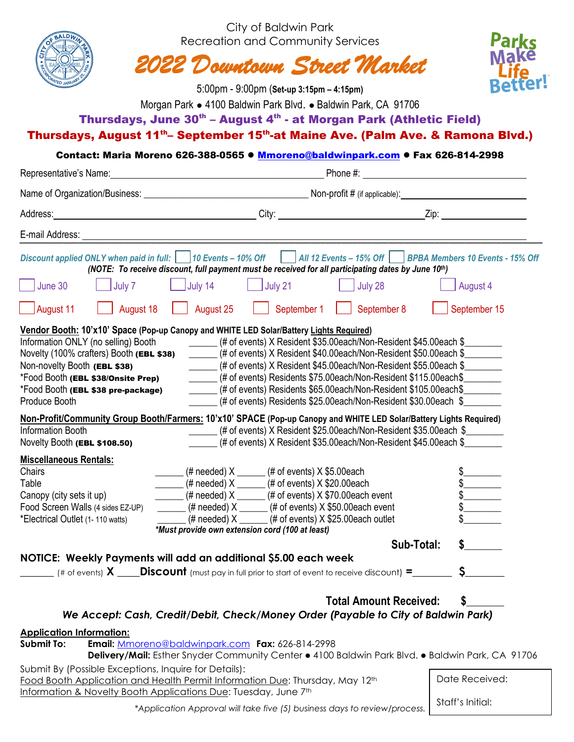|                                                                                                                                                                                                                      |               |                                                                                                                                                                                         | City of Baldwin Park<br><b>Recreation and Community Services</b><br>$5:00$ pm - $9:00$ pm (Set-up 3:15pm – 4:15pm)                                                                                                                                                                                                                                                                                                         | 2022 Downtown Street Market                                                                                                                                                                                                                                               | Parks<br><b>Make</b><br>etter!                                                                                                                                                                                                                                                                                                                                                                                                                                                                                            |  |  |
|----------------------------------------------------------------------------------------------------------------------------------------------------------------------------------------------------------------------|---------------|-----------------------------------------------------------------------------------------------------------------------------------------------------------------------------------------|----------------------------------------------------------------------------------------------------------------------------------------------------------------------------------------------------------------------------------------------------------------------------------------------------------------------------------------------------------------------------------------------------------------------------|---------------------------------------------------------------------------------------------------------------------------------------------------------------------------------------------------------------------------------------------------------------------------|---------------------------------------------------------------------------------------------------------------------------------------------------------------------------------------------------------------------------------------------------------------------------------------------------------------------------------------------------------------------------------------------------------------------------------------------------------------------------------------------------------------------------|--|--|
|                                                                                                                                                                                                                      |               |                                                                                                                                                                                         |                                                                                                                                                                                                                                                                                                                                                                                                                            | Morgan Park • 4100 Baldwin Park Blvd. • Baldwin Park, CA 91706                                                                                                                                                                                                            |                                                                                                                                                                                                                                                                                                                                                                                                                                                                                                                           |  |  |
|                                                                                                                                                                                                                      |               |                                                                                                                                                                                         |                                                                                                                                                                                                                                                                                                                                                                                                                            | Thursdays, June 30 <sup>th</sup> – August 4 <sup>th</sup> - at Morgan Park (Athletic Field)                                                                                                                                                                               |                                                                                                                                                                                                                                                                                                                                                                                                                                                                                                                           |  |  |
|                                                                                                                                                                                                                      |               |                                                                                                                                                                                         |                                                                                                                                                                                                                                                                                                                                                                                                                            |                                                                                                                                                                                                                                                                           | Thursdays, August 11 <sup>th</sup> -September 15 <sup>th</sup> -at Maine Ave. (Palm Ave. & Ramona Blvd.)                                                                                                                                                                                                                                                                                                                                                                                                                  |  |  |
|                                                                                                                                                                                                                      |               |                                                                                                                                                                                         |                                                                                                                                                                                                                                                                                                                                                                                                                            |                                                                                                                                                                                                                                                                           | Contact: Maria Moreno 626-388-0565 ● Mmoreno@baldwinpark.com ● Fax 626-814-2998                                                                                                                                                                                                                                                                                                                                                                                                                                           |  |  |
|                                                                                                                                                                                                                      |               |                                                                                                                                                                                         |                                                                                                                                                                                                                                                                                                                                                                                                                            |                                                                                                                                                                                                                                                                           |                                                                                                                                                                                                                                                                                                                                                                                                                                                                                                                           |  |  |
|                                                                                                                                                                                                                      |               |                                                                                                                                                                                         |                                                                                                                                                                                                                                                                                                                                                                                                                            |                                                                                                                                                                                                                                                                           |                                                                                                                                                                                                                                                                                                                                                                                                                                                                                                                           |  |  |
|                                                                                                                                                                                                                      |               |                                                                                                                                                                                         |                                                                                                                                                                                                                                                                                                                                                                                                                            |                                                                                                                                                                                                                                                                           |                                                                                                                                                                                                                                                                                                                                                                                                                                                                                                                           |  |  |
|                                                                                                                                                                                                                      |               |                                                                                                                                                                                         |                                                                                                                                                                                                                                                                                                                                                                                                                            |                                                                                                                                                                                                                                                                           |                                                                                                                                                                                                                                                                                                                                                                                                                                                                                                                           |  |  |
|                                                                                                                                                                                                                      |               |                                                                                                                                                                                         |                                                                                                                                                                                                                                                                                                                                                                                                                            | (NOTE: To receive discount, full payment must be received for all participating dates by June 10th)                                                                                                                                                                       | Discount applied ONLY when paid in full:     10 Events - 10% Off       All 12 Events - 15% Off     BPBA Members 10 Events - 15% Off                                                                                                                                                                                                                                                                                                                                                                                       |  |  |
| June 30                                                                                                                                                                                                              | $\Box$ July 7 | $\overline{\phantom{a}}$ July 14                                                                                                                                                        | July 21                                                                                                                                                                                                                                                                                                                                                                                                                    | $\vert$ July 28                                                                                                                                                                                                                                                           | August 4                                                                                                                                                                                                                                                                                                                                                                                                                                                                                                                  |  |  |
| August 11                                                                                                                                                                                                            | August 18     | August 25                                                                                                                                                                               | September 1                                                                                                                                                                                                                                                                                                                                                                                                                | September 8                                                                                                                                                                                                                                                               | September 15                                                                                                                                                                                                                                                                                                                                                                                                                                                                                                              |  |  |
| Information ONLY (no selling) Booth<br>Novelty (100% crafters) Booth (EBL \$38)<br>Non-novelty Booth (EBL \$38)<br>*Food Booth (EBL \$38/Onsite Prep)<br>*Food Booth (EBL \$38 pre-package)<br>Produce Booth         |               |                                                                                                                                                                                         |                                                                                                                                                                                                                                                                                                                                                                                                                            | (# of events) X Resident \$35.00each/Non-Resident \$45.00each \$<br>(# of events) Residents \$75.00each/Non-Resident \$115.00each\$<br>(# of events) Residents \$65.00each/Non-Resident \$105.00each\$<br>(# of events) Residents \$25.00each/Non-Resident \$30.00each \$ | (# of events) X Resident \$40.00each/Non-Resident \$50.00each \$<br>(# of events) X Resident \$45.00each/Non-Resident \$55.00each \$                                                                                                                                                                                                                                                                                                                                                                                      |  |  |
| <b>Information Booth</b>                                                                                                                                                                                             |               | Non-Profit/Community Group Booth/Farmers: 10'x10' SPACE (Pop-up Canopy and WHITE LED Solar/Battery Lights Required)<br>(# of events) X Resident \$25.00each/Non-Resident \$35.00each \$ |                                                                                                                                                                                                                                                                                                                                                                                                                            |                                                                                                                                                                                                                                                                           |                                                                                                                                                                                                                                                                                                                                                                                                                                                                                                                           |  |  |
| Novelty Booth (EBL \$108.50)                                                                                                                                                                                         |               |                                                                                                                                                                                         | (# of events) X Resident \$35.00each/Non-Resident \$45.00each \$                                                                                                                                                                                                                                                                                                                                                           |                                                                                                                                                                                                                                                                           |                                                                                                                                                                                                                                                                                                                                                                                                                                                                                                                           |  |  |
| <b>Miscellaneous Rentals:</b><br>Chairs<br>Table<br>Canopy (city sets it up)<br>Food Screen Walls (4 sides EZ-UP)<br>*Electrical Outlet (1-110 watts)                                                                |               |                                                                                                                                                                                         | $\frac{1}{1}$ (# needed) X $\frac{1}{1}$ (# of events) X \$5.00each<br>$\frac{1}{1}$ (# needed) X $\frac{1}{1}$ (# of events) X \$20.00each<br>$\frac{1}{1}$ (# needed) X $\frac{1}{1}$ (# of events) X \$70.00each event<br>$\frac{1}{1}$ (# needed) X $\frac{1}{1}$ (# of events) X \$50.00each event<br>$\mu$ (# needed) X ______ (# of events) X \$25.00each outlet<br>*Must provide own extension cord (100 at least) |                                                                                                                                                                                                                                                                           | $\begin{array}{c}\n\text{\$} \quad \text{\_} \quad \text{\_} \quad \text{\_} \quad \text{\_} \quad \text{\_} \quad \text{\_} \quad \text{\_} \quad \text{\_} \quad \text{\_} \quad \text{\_} \quad \text{\_} \quad \text{\_} \quad \text{\_} \quad \text{\_} \quad \text{\_} \quad \text{\_} \quad \text{\_} \quad \text{\_} \quad \text{\_} \quad \text{\_} \quad \text{\_} \quad \text{\_} \quad \text{\_} \quad \text{\_} \quad \text{\_} \quad \text{\_} \quad \text{\_} \quad \text{\_} \quad \text{\_} \quad \text$ |  |  |
|                                                                                                                                                                                                                      |               |                                                                                                                                                                                         |                                                                                                                                                                                                                                                                                                                                                                                                                            | Sub-Total:                                                                                                                                                                                                                                                                | $\sim$                                                                                                                                                                                                                                                                                                                                                                                                                                                                                                                    |  |  |
| NOTICE: Weekly Payments will add an additional \$5.00 each week                                                                                                                                                      |               |                                                                                                                                                                                         |                                                                                                                                                                                                                                                                                                                                                                                                                            |                                                                                                                                                                                                                                                                           |                                                                                                                                                                                                                                                                                                                                                                                                                                                                                                                           |  |  |
|                                                                                                                                                                                                                      |               |                                                                                                                                                                                         |                                                                                                                                                                                                                                                                                                                                                                                                                            | (# of events) $X$ <b>Discount</b> (must pay in full prior to start of event to receive discount) =                                                                                                                                                                        |                                                                                                                                                                                                                                                                                                                                                                                                                                                                                                                           |  |  |
|                                                                                                                                                                                                                      |               |                                                                                                                                                                                         |                                                                                                                                                                                                                                                                                                                                                                                                                            | <b>Total Amount Received:</b><br>We Accept: Cash, Credit/Debit, Check/Money Order (Payable to City of Baldwin Park)                                                                                                                                                       | \$                                                                                                                                                                                                                                                                                                                                                                                                                                                                                                                        |  |  |
| <b>Application Information:</b><br><b>Submit To:</b>                                                                                                                                                                 |               |                                                                                                                                                                                         | Email: Mmoreno@baldwinpark.com Fax: 626-814-2998                                                                                                                                                                                                                                                                                                                                                                           |                                                                                                                                                                                                                                                                           | Delivery/Mail: Esther Snyder Community Center • 4100 Baldwin Park Blvd. • Baldwin Park, CA 91706                                                                                                                                                                                                                                                                                                                                                                                                                          |  |  |
| Submit By (Possible Exceptions, Inquire for Details):<br>Food Booth Application and Health Permit Information Due: Thursday, May 12 <sup>th</sup><br>Information & Novelty Booth Applications Due: Tuesday, June 7th |               |                                                                                                                                                                                         |                                                                                                                                                                                                                                                                                                                                                                                                                            |                                                                                                                                                                                                                                                                           | Date Received:                                                                                                                                                                                                                                                                                                                                                                                                                                                                                                            |  |  |

*\*Application Approval will take five (5) business days to review/process.*

Staff's Initial: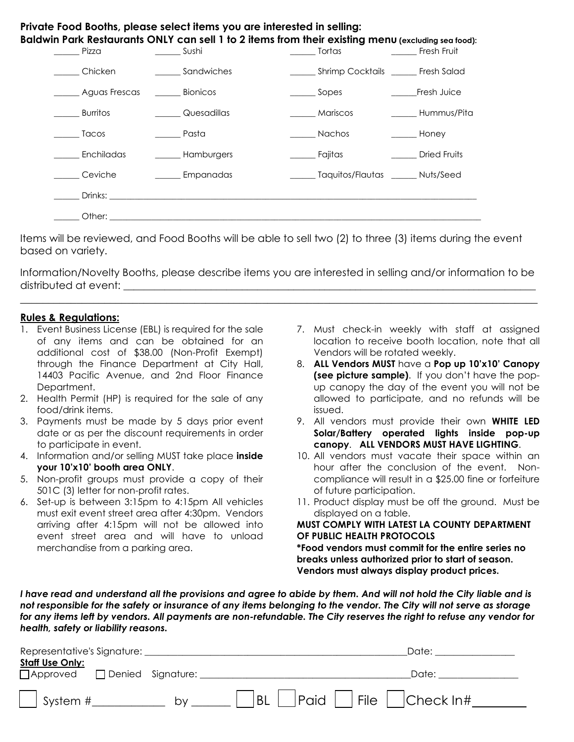| Pizza                          | $\frac{1}{2}$ Sushi                                                                                                                                                                                                            | $\frac{1}{\sqrt{1-\frac{1}{2}}\sqrt{1-\frac{1}{2}}\sqrt{1-\frac{1}{2}}\sqrt{1-\frac{1}{2}}\sqrt{1-\frac{1}{2}}\sqrt{1-\frac{1}{2}}\sqrt{1-\frac{1}{2}}\sqrt{1-\frac{1}{2}}\sqrt{1-\frac{1}{2}}\sqrt{1-\frac{1}{2}}\sqrt{1-\frac{1}{2}}\sqrt{1-\frac{1}{2}}\sqrt{1-\frac{1}{2}}\sqrt{1-\frac{1}{2}}\sqrt{1-\frac{1}{2}}\sqrt{1-\frac{1}{2}}\sqrt{1-\frac{1}{2}}\sqrt{1-\frac{1}{2}}\sqrt{1-\frac{1}{2}}\sqrt{1-\frac$<br><b>Example 19 Fresh Fruit</b> |              |
|--------------------------------|--------------------------------------------------------------------------------------------------------------------------------------------------------------------------------------------------------------------------------|-------------------------------------------------------------------------------------------------------------------------------------------------------------------------------------------------------------------------------------------------------------------------------------------------------------------------------------------------------------------------------------------------------------------------------------------------------|--------------|
| Chicken                        | <b>Example Sandwiches</b>                                                                                                                                                                                                      | _________ Shrimp Cocktails ________ Fresh Salad                                                                                                                                                                                                                                                                                                                                                                                                       |              |
| Aguas Frescas _______ Bionicos |                                                                                                                                                                                                                                | $\frac{1}{2}$ Sopes                                                                                                                                                                                                                                                                                                                                                                                                                                   | Fresh Juice  |
| Burritos                       | Quesadillas                                                                                                                                                                                                                    | Mariscos                                                                                                                                                                                                                                                                                                                                                                                                                                              | Hummus/Pita  |
| <b>Tacos</b>                   | <b>Pasta</b>                                                                                                                                                                                                                   | <b>Nachos</b>                                                                                                                                                                                                                                                                                                                                                                                                                                         | <b>Honey</b> |
| Enchiladas                     | _______ Hamburgers                                                                                                                                                                                                             | ______ Fajitas                                                                                                                                                                                                                                                                                                                                                                                                                                        | Dried Fruits |
| Ceviche                        | ______ Empanadas                                                                                                                                                                                                               | _______ Taquitos/Flautas ______ Nuts/Seed                                                                                                                                                                                                                                                                                                                                                                                                             |              |
|                                | Drinks: the contract of the contract of the contract of the contract of the contract of the contract of the contract of the contract of the contract of the contract of the contract of the contract of the contract of the co |                                                                                                                                                                                                                                                                                                                                                                                                                                                       |              |

Items will be reviewed, and Food Booths will be able to sell two (2) to three (3) items during the event based on variety.

Information/Novelty Booths, please describe items you are interested in selling and/or information to be distributed at event:

\_\_\_\_\_\_\_\_\_\_\_\_\_\_\_\_\_\_\_\_\_\_\_\_\_\_\_\_\_\_\_\_\_\_\_\_\_\_\_\_\_\_\_\_\_\_\_\_\_\_\_\_\_\_\_\_\_\_\_\_\_\_\_\_\_\_\_\_\_\_\_\_\_\_\_\_\_\_\_\_\_\_\_\_\_\_\_\_\_\_\_\_

## **Rules & Regulations:**

- 1. Event Business License (EBL) is required for the sale of any items and can be obtained for an additional cost of \$38.00 (Non-Profit Exempt) through the Finance Department at City Hall, 14403 Pacific Avenue, and 2nd Floor Finance Department.
- 2. Health Permit (HP) is required for the sale of any food/drink items.
- 3. Payments must be made by 5 days prior event date or as per the discount requirements in order to participate in event.
- 4. Information and/or selling MUST take place **inside your 10'x10' booth area ONLY**.
- 5. Non-profit groups must provide a copy of their 501C (3) letter for non-profit rates.
- 6. Set-up is between 3:15pm to 4:15pm All vehicles must exit event street area after 4:30pm. Vendors arriving after 4:15pm will not be allowed into event street area and will have to unload merchandise from a parking area.
- 7. Must check-in weekly with staff at assigned location to receive booth location, note that all Vendors will be rotated weekly.
- 8. **ALL Vendors MUST** have a **Pop up 10'x10' Canopy (see picture sample)**. If you don't have the popup canopy the day of the event you will not be allowed to participate, and no refunds will be issued.
- 9. All vendors must provide their own **WHITE LED Solar/Battery operated lights inside pop-up canopy**. **ALL VENDORS MUST HAVE LIGHTING**.
- 10. All vendors must vacate their space within an hour after the conclusion of the event. Noncompliance will result in a \$25.00 fine or forfeiture of future participation.
- 11. Product display must be off the ground. Must be displayed on a table.

## **MUST COMPLY WITH LATEST LA COUNTY DEPARTMENT OF PUBLIC HEALTH PROTOCOLS**

**\*Food vendors must commit for the entire series no breaks unless authorized prior to start of season. Vendors must always display product prices.**

*I have read and understand all the provisions and agree to abide by them. And will not hold the City liable and is not responsible for the safety or insurance of any items belonging to the vendor. The City will not serve as storage for any items left by vendors. All payments are non-refundable. The City reserves the right to refuse any vendor for health, safety or liability reasons.*

| Representative's Signature:                              | Date:                                 |
|----------------------------------------------------------|---------------------------------------|
| <b>Staff Use Only:</b><br>□ Approved □ Denied Signature: | Date:                                 |
| System #<br>bv                                           | $ BL $ $ Paid $ $ File $ $ Check ln#$ |